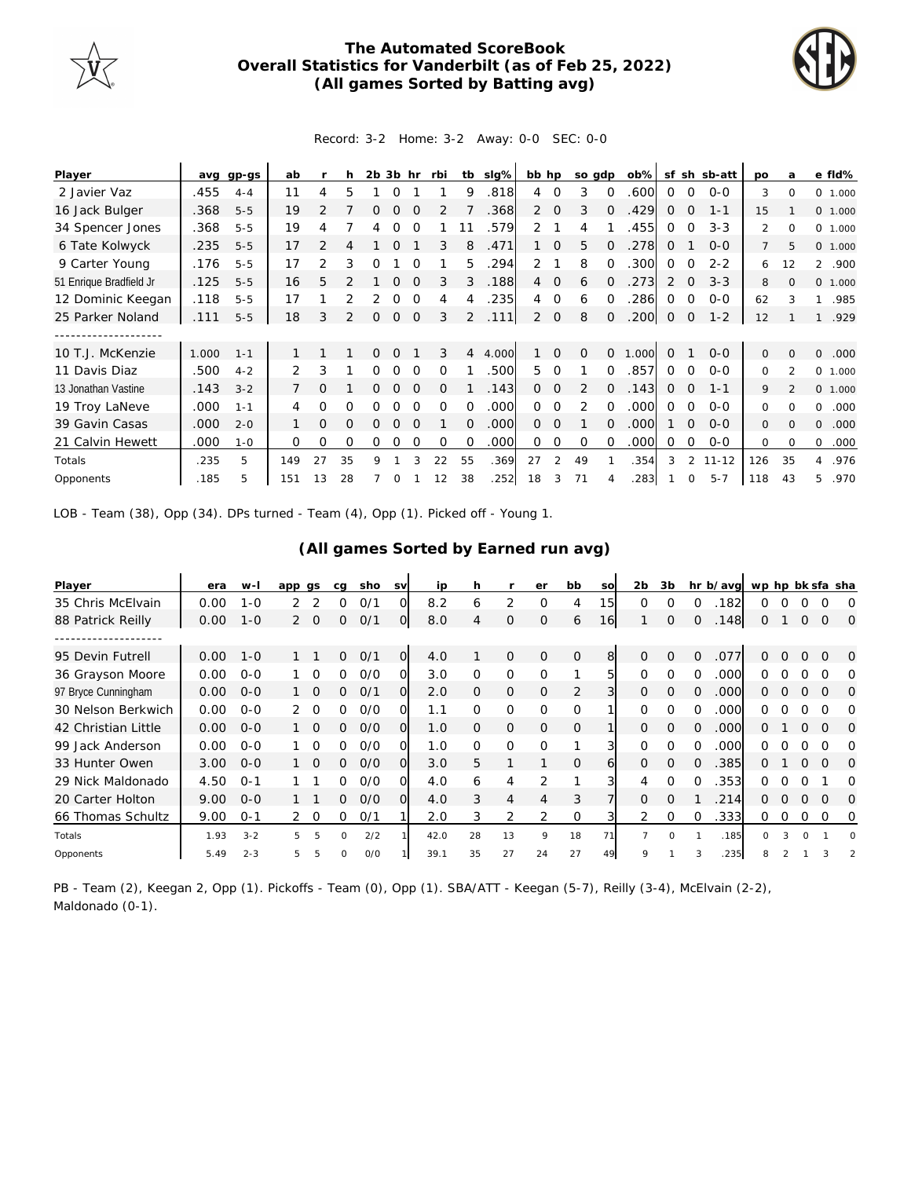

## **The Automated ScoreBook Overall Statistics for Vanderbilt (as of Feb 25, 2022) (All games Sorted by Batting avg)**



## Record: 3-2 Home: 3-2 Away: 0-0 SEC: 0-0

| Player                  | ava   | gp-gs   | ab  |                |               | 2 <sub>b</sub> | 3b            | hr          | rbi      | tb             | slg%  | bb hp          |             | so gdp   |          | $ob\%$ | sf          | sh             | sb-att    | po             | a              |                | e fld%  |
|-------------------------|-------|---------|-----|----------------|---------------|----------------|---------------|-------------|----------|----------------|-------|----------------|-------------|----------|----------|--------|-------------|----------------|-----------|----------------|----------------|----------------|---------|
| 2 Javier Vaz            | .455  | $4 - 4$ | 11  |                | 5             |                |               |             |          | 9              | .818  | 4              | $\Omega$    |          | $\Omega$ | .600   | 0           | $\Omega$       | $0 - 0$   | 3              | $\Omega$       |                | 0 1.000 |
| 16 Jack Bulger          | .368  | $5 - 5$ | 19  | っ              |               |                |               |             |          |                | .368  | $\overline{2}$ | $\Omega$    | 3        | $\Omega$ | .429   | 0           | O              | $1 - 1$   | 15             |                |                | 0 1.000 |
| 34 Spencer Jones        | .368  | $5 - 5$ | 19  | 4              |               |                |               |             |          |                | .579  | 2              |             | 4        |          | .455   | 0           | $\Omega$       | $3 - 3$   | 2              | $\Omega$       |                | 0 1.000 |
| 6 Tate Kolwyck          | .235  | $5 - 5$ | 17  | $\overline{2}$ |               |                | $\Omega$      |             | 3        | 8              | .471  |                | $\Omega$    | 5        |          | .278   | $\Omega$    |                | $0 - 0$   | $\overline{7}$ | 5              |                | 0 1.000 |
| 9 Carter Young          | .176  | $5 - 5$ | 17  | 2              | 3             | Ω              |               |             |          | 5              | .294  | 2              |             | 8        | $\Omega$ | 300    | 0           | $\Omega$       | $2 - 2$   | 6              | 12             | $\overline{2}$ | .900    |
| 51 Enrique Bradfield Jr | .125  | $5 - 5$ | 16  | 5.             |               |                | $\Omega$      | $\Omega$    | 3        | 3              | .188  | $\overline{4}$ | $\mathbf 0$ | 6        | $\Omega$ | .273   | 2           | $\Omega$       | $3 - 3$   | 8              | $\Omega$       |                | 0 1.000 |
| 12 Dominic Keegan       | .118  | $5 - 5$ | 17  |                |               |                | 0             | $\Omega$    | 4        | 4              | .235  | 4              | $\Omega$    | 6        | $\Omega$ | .286   | 0           | $\Omega$       | $0 - 0$   | 62             | 3              |                | .985    |
| 25 Parker Noland        | .111  | $5 - 5$ | 18  | 3              | $\mathcal{P}$ | $\Omega$       | $\mathcal{O}$ | $\mathbf 0$ | 3        | $\overline{2}$ | .111  | $\overline{2}$ | $\mathbf 0$ | 8        | $\Omega$ | .200   | $\mathbf 0$ | $\overline{0}$ | $1 - 2$   | 12             |                | 1              | .929    |
|                         |       |         |     |                |               |                |               |             |          |                |       |                |             |          |          |        |             |                |           |                |                |                |         |
| 10 T.J. McKenzie        | 1.000 | $1 - 1$ |     |                |               | ∩              | $\Omega$      |             | 3        | 4              | 4.000 |                | $\Omega$    | $\Omega$ | $\Omega$ | 1.000  | $\Omega$    |                | $0 - 0$   | 0              | $\Omega$       | 0              | .000    |
| 11 Davis Diaz           | .500  | $4 - 2$ | 2   | 3              |               | 0              | 0             | ∩           | Ω        |                | .500  | 5              | $\Omega$    |          | 0        | .857   | $\Omega$    | $\Omega$       | $0 - 0$   | 0              | $\mathfrak{p}$ |                | 0 1.000 |
| 13 Jonathan Vastine     | .143  | $3 - 2$ |     | $\Omega$       |               | 0              | $\Omega$      | $\Omega$    | $\Omega$ |                | .143  | $\Omega$       | $\Omega$    | 2        | $\Omega$ | .143   | 0           | $\Omega$       | $1 - 1$   | 9              | $\mathfrak{D}$ |                | 0 1.000 |
| 19 Troy LaNeve          | .000  | $1 - 1$ | 4   | 0              | 0             | Ω              | 0             |             | $\Omega$ | $\Omega$       | .000  | $\Omega$       | $\Omega$    | 2        | 0        | .000   | $\Omega$    | $\Omega$       | $0 - 0$   | 0              | $\Omega$       | 0              | .000    |
| 39 Gavin Casas          | .000  | $2 - 0$ |     | 0              | $\Omega$      | 0              | $\Omega$      | $\Omega$    |          | $\Omega$       | .000  | $\Omega$       | $\Omega$    |          | 0        | .000   |             | $\Omega$       | $0 - 0$   | 0              | $\Omega$       | 0              | .000    |
| 21 Calvin Hewett        | 000   | $1 - 0$ | 0   | $\Omega$       | 0             | 0              | $\Omega$      | $\Omega$    | $\Omega$ | $\Omega$       | .000  | 0              | $\Omega$    | $\Omega$ | $\Omega$ | .000   | 0           | $\Omega$       | $0 - 0$   | $\Omega$       | $\Omega$       | $\circ$        | .000    |
| Totals                  | .235  | 5       | 149 | 27             | 35            | 9              |               | 3           | 22       | 55             | .369  | 27             | 2           | 49       |          | .354   | 3           | 2              | $11 - 12$ | 126            | 35             | 4              | .976    |
| Opponents               | .185  | 5       | 151 | 13             | 28            |                |               |             | 12       | 38             | .252  | 18             |             |          |          | .283   |             |                | $5 - 7$   | 118            | 43             | 5.             | .970    |

LOB - Team (38), Opp (34). DPs turned - Team (4), Opp (1). Picked off - Young 1.

## **(All games Sorted by Earned run avg)**

| Player              | era  | w-l     | app gs         |                 | ca           | sho | <b>SV</b>      | ip   | h        |                | er          | bb            | SO        | 2 <sub>b</sub> | 3b       |          | hr b/avg | wp hp bk sfa sha |   |          |          |          |
|---------------------|------|---------|----------------|-----------------|--------------|-----|----------------|------|----------|----------------|-------------|---------------|-----------|----------------|----------|----------|----------|------------------|---|----------|----------|----------|
| 35 Chris McElvain   | 0.00 | $1 - 0$ |                |                 | Ω            | O/1 | Ω              | 8.2  | 6        | 2              | $\Omega$    | 4             | 15        | $\Omega$       | O        | ∩        | .182     | O                |   |          |          | $\Omega$ |
| 88 Patrick Reilly   | 0.00 | $1 - 0$ |                | $2 \Omega$      | $\Omega$     | 0/1 | $\overline{O}$ | 8.0  | 4        | $\Omega$       | $\Omega$    | 6             | <b>16</b> |                | $\Omega$ | $\Omega$ | .148     | 0                |   | $\Omega$ | $\Omega$ | 0        |
|                     |      |         |                |                 |              |     |                |      |          |                |             |               |           |                |          |          |          |                  |   |          |          |          |
| 95 Devin Futrell    | 0.00 | $1 - 0$ |                |                 | 0            | O/1 | $\circ$        | 4.0  |          | $\Omega$       | $\Omega$    | $\mathcal{O}$ | 8         | $\Omega$       | $\Omega$ | $\Omega$ | .077     | ∩                | O | $\Omega$ | $\Omega$ | $\Omega$ |
| 36 Grayson Moore    | 0.00 | $O - O$ |                | 1 0             | <sup>o</sup> | O/O | Ω              | 3.0  | $\Omega$ | $\Omega$       | $\Omega$    |               | 5         | $\Omega$       | $\Omega$ | ∩        | .000     | 0                |   |          | O        | $\Omega$ |
| 97 Bryce Cunningham | 0.00 | $0 - 0$ |                | $1\quad \Omega$ | 0            | O/1 | $\Omega$       | 2.0  | $\Omega$ | $\mathcal{O}$  | $\Omega$    | 2             | 3         | $\Omega$       | $\Omega$ | $\Omega$ | .000     | 0                | ∩ | $\Omega$ | $\Omega$ | O        |
| 30 Nelson Berkwich  | 0.00 | $O-O$   |                | $\Omega$        | 0            | O/O | Ω              | 1.1  | $\Omega$ | 0              | $\Omega$    | $\Omega$      |           | $\Omega$       | ∩        | $\Omega$ | .000     | 0                |   |          |          | O        |
| 42 Christian Little | 0.00 | $0 - 0$ |                | $1\quad \Omega$ | 0            | O/O | O              | 1.0  | $\Omega$ | $\mathcal{O}$  | $\Omega$    | $\Omega$      |           | $\Omega$       | $\Omega$ | $\Omega$ | .000     | 0                |   | 0        | $\Omega$ | $\Omega$ |
| 99 Jack Anderson    | 0.00 | $O - O$ |                | $\Omega$        | ∩            | O/O | Ω              | 1.0  | 0        | 0              | $\Omega$    |               | 3         |                | $\Omega$ | $\Omega$ | .000     | ∩                |   |          |          | $\Omega$ |
| 33 Hunter Owen      | 3.00 | $O - O$ |                | $1\quad \Omega$ | 0            | O/O | $\Omega$       | 3.0  | 5        |                |             | $\mathcal{O}$ | 6         | $\Omega$       | $\Omega$ | $\Omega$ | .385     | 0                |   | $\Omega$ | $\Omega$ | O        |
| 29 Nick Maldonado   | 4.50 | $O - 1$ |                |                 | 0            | O/O | Ω              | 4.0  | 6        | 4              | 2           |               | 3         | 4              | $\Omega$ | $\Omega$ | 353      | 0                | ∩ | ∩        |          | Ω        |
| 20 Carter Holton    | 9.00 | $O-O$   |                |                 | 0            | O/O | $\Omega$       | 4.0  | 3        | $\overline{4}$ | 4           | 3             |           | $\Omega$       | $\Omega$ |          | 214      | 0                |   | $\Omega$ | $\Omega$ | $\Omega$ |
| 66 Thomas Schultz   | 9.00 | $O - 1$ | $\overline{2}$ | $\circ$         | 0            | 0/1 |                | 2.0  | 3        | 2              | 2           | 0             |           | 2              | $\Omega$ | $\Omega$ | .333     | 0                | 0 | 0        | $\Omega$ | 0        |
| Totals              | 1.93 | $3 - 2$ | 5              | 5               | $\Omega$     | 2/2 |                | 42.0 | 28       | 13             | $\mathsf o$ | 18            | 71        | $\overline{7}$ | $\Omega$ |          | .185     | $\Omega$         | 3 | $\Omega$ |          | $\Omega$ |
| Opponents           | 5.49 | $2 - 3$ |                | 5               | $\Omega$     | 0/0 |                | 39.1 | 35       | 27             | 24          | 27            | 49        | Q              |          |          | .235     |                  |   |          |          |          |

PB - Team (2), Keegan 2, Opp (1). Pickoffs - Team (0), Opp (1). SBA/ATT - Keegan (5-7), Reilly (3-4), McElvain (2-2), Maldonado (0-1).